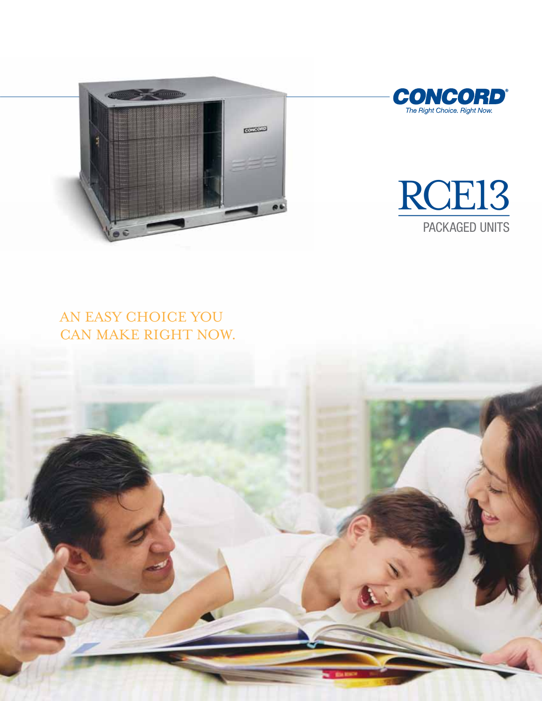





# An easy choice you can make right now.

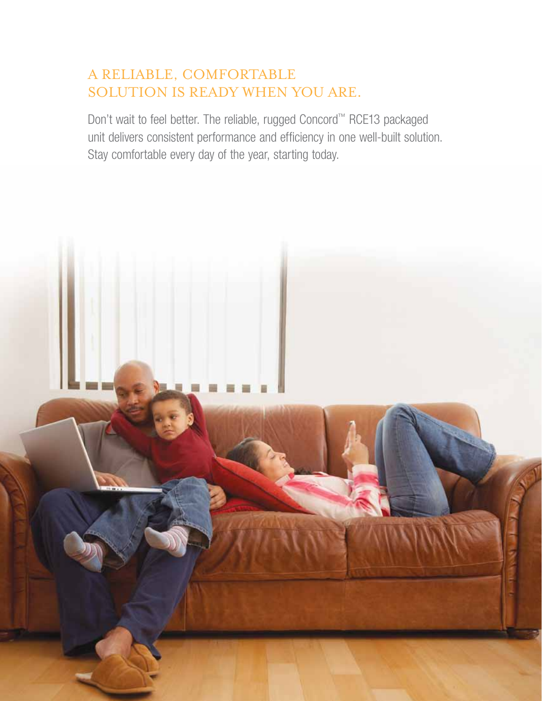### A reliable, comfortable solution is ready when you are.

Don't wait to feel better. The reliable, rugged Concord™ RCE13 packaged unit delivers consistent performance and efficiency in one well-built solution. Stay comfortable every day of the year, starting today.

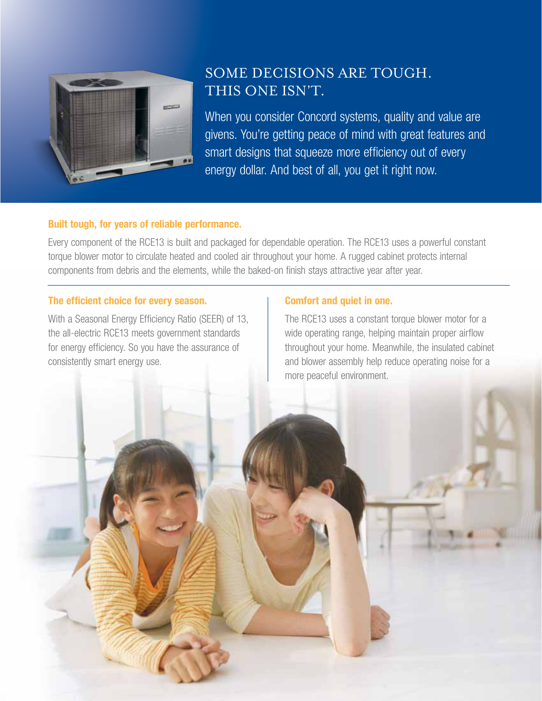

## SOME DECISIONS ARE TOUGH. This one isn't.

When you consider Concord systems, quality and value are givens. You're getting peace of mind with great features and smart designs that squeeze more efficiency out of every energy dollar. And best of all, you get it right now.

#### Built tough, for years of reliable performance.

Every component of the RCE13 is built and packaged for dependable operation. The RCE13 uses a powerful constant torque blower motor to circulate heated and cooled air throughout your home. A rugged cabinet protects internal components from debris and the elements, while the baked-on finish stays attractive year after year.

#### The efficient choice for every season.

With a Seasonal Energy Efficiency Ratio (SEER) of 13, the all-electric RCE13 meets government standards for energy efficiency. So you have the assurance of consistently smart energy use.

#### Comfort and quiet in one.

The RCE13 uses a constant torque blower motor for a wide operating range, helping maintain proper airflow throughout your home. Meanwhile, the insulated cabinet and blower assembly help reduce operating noise for a more peaceful environment.